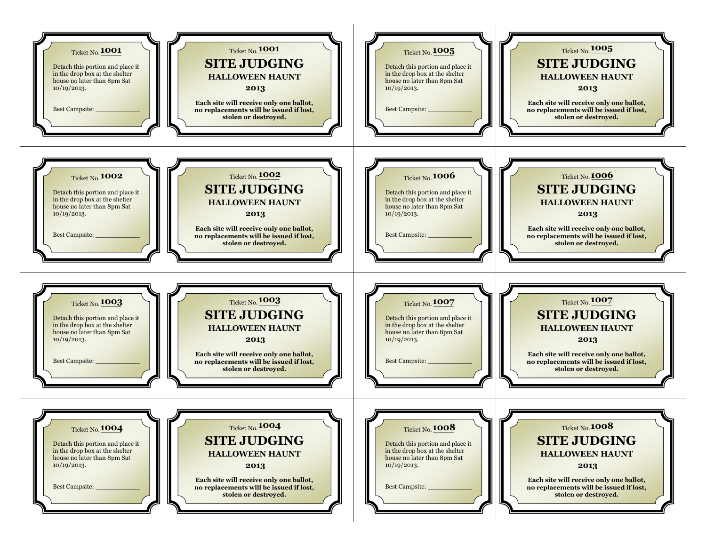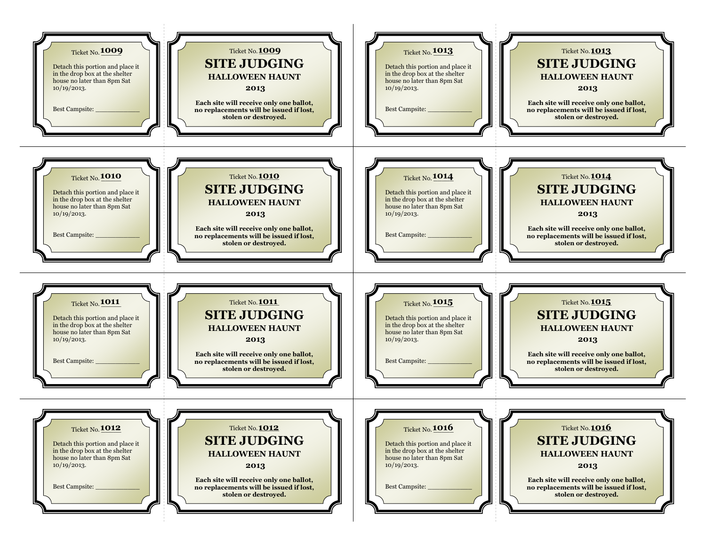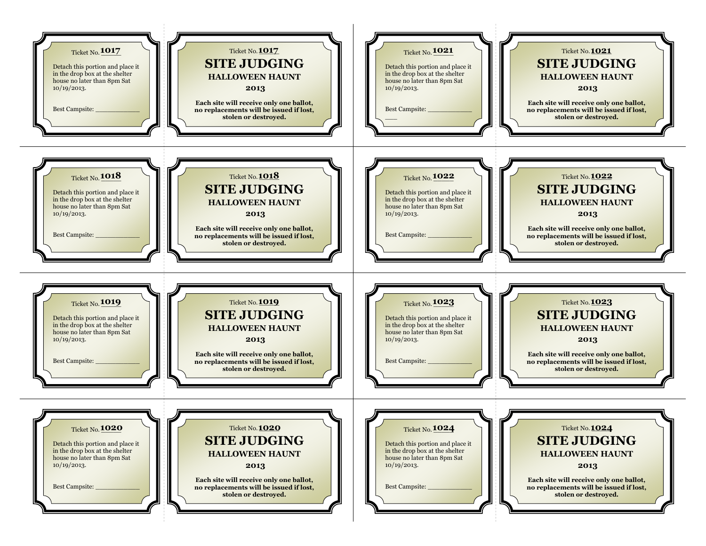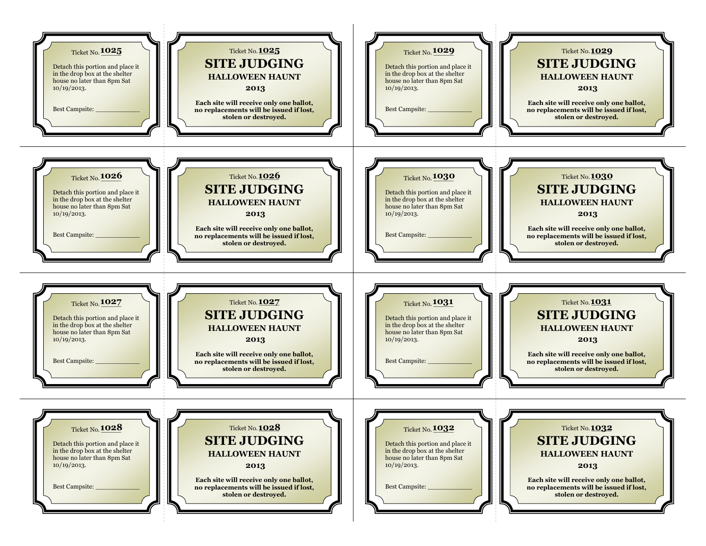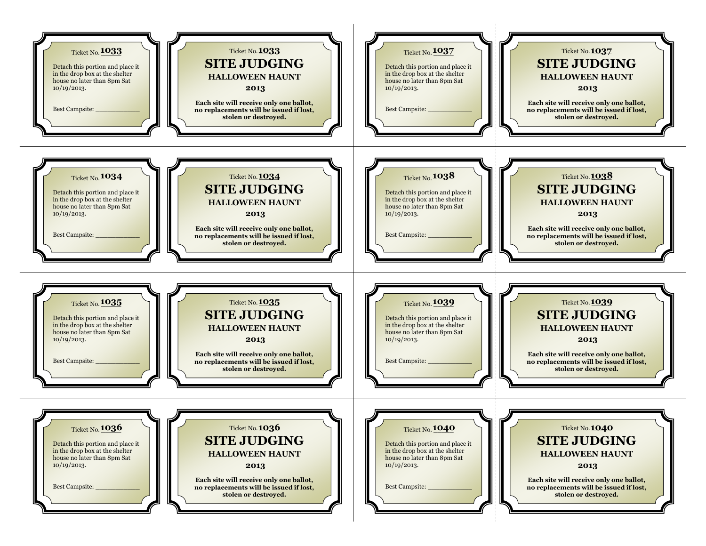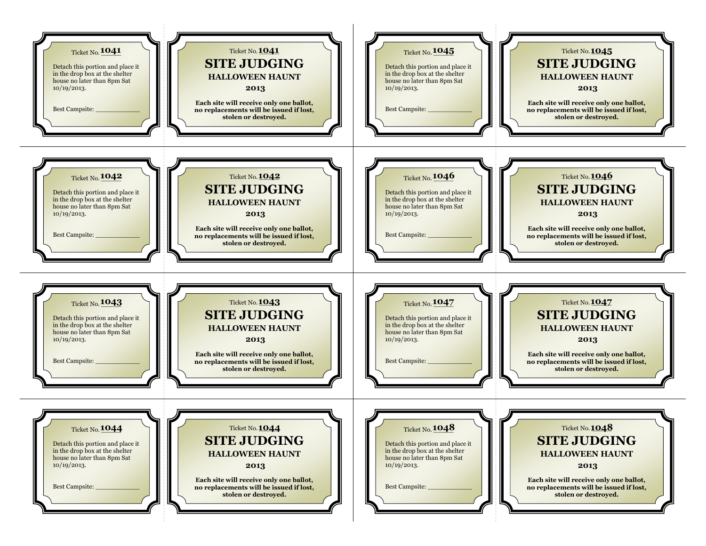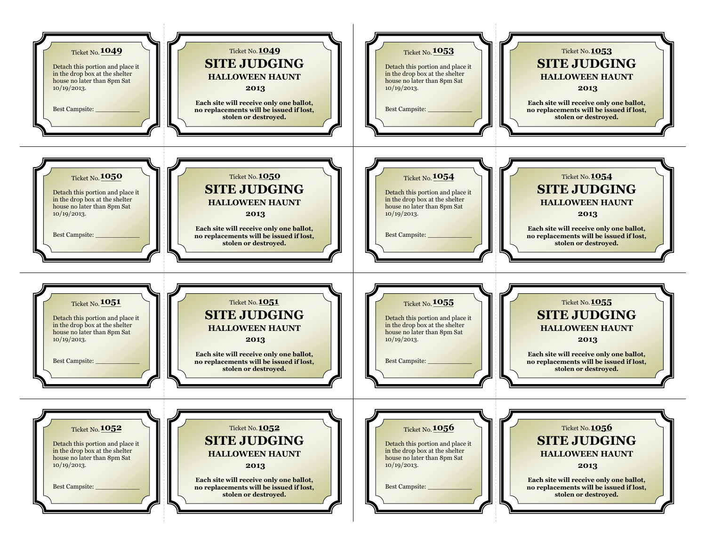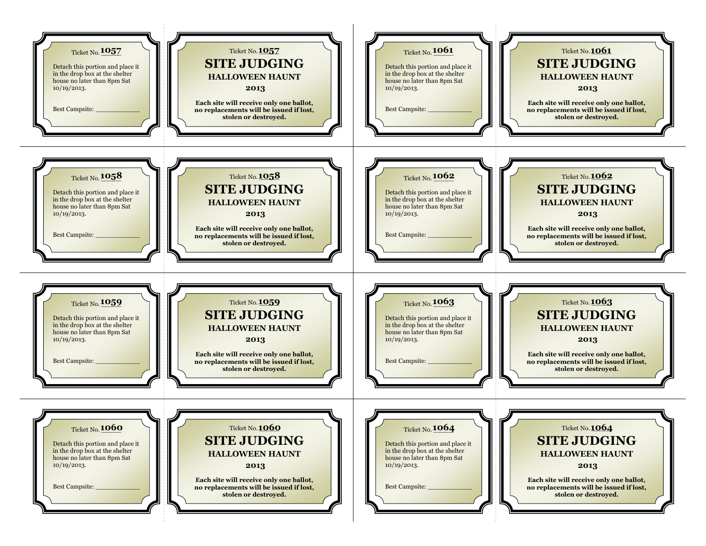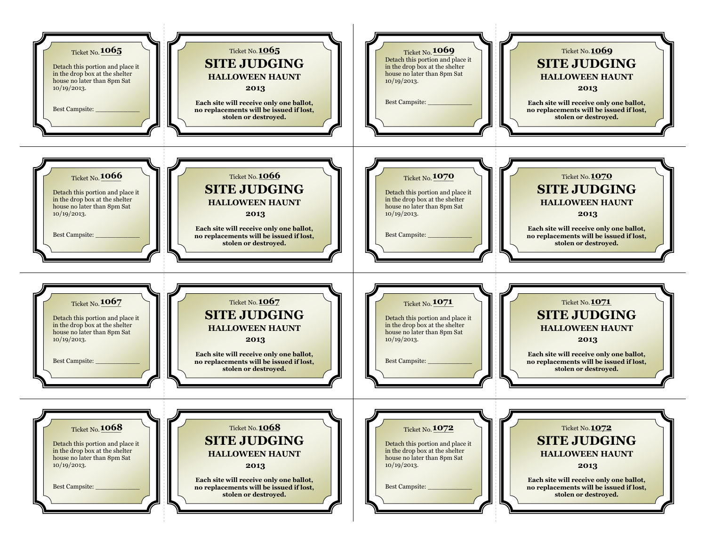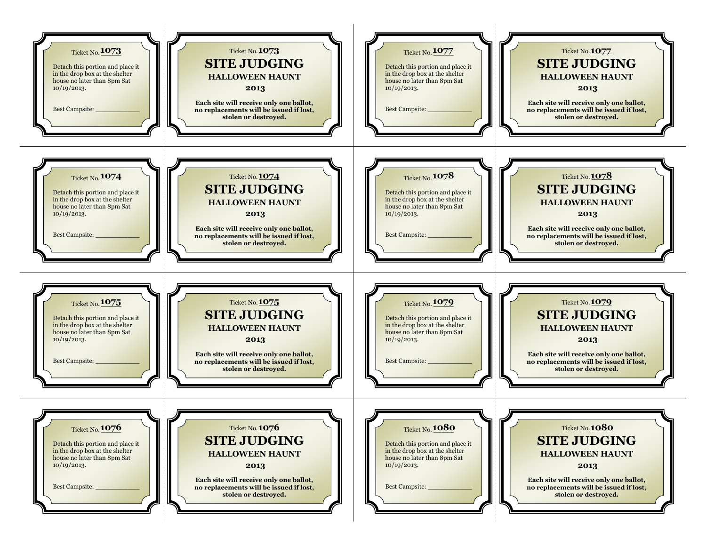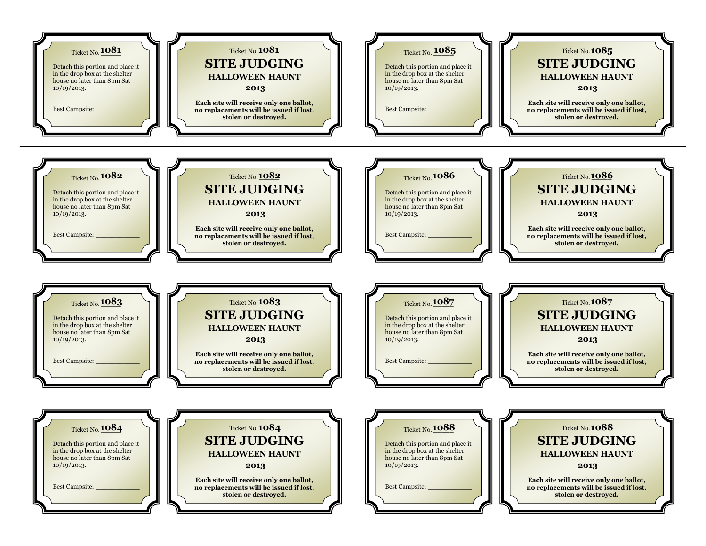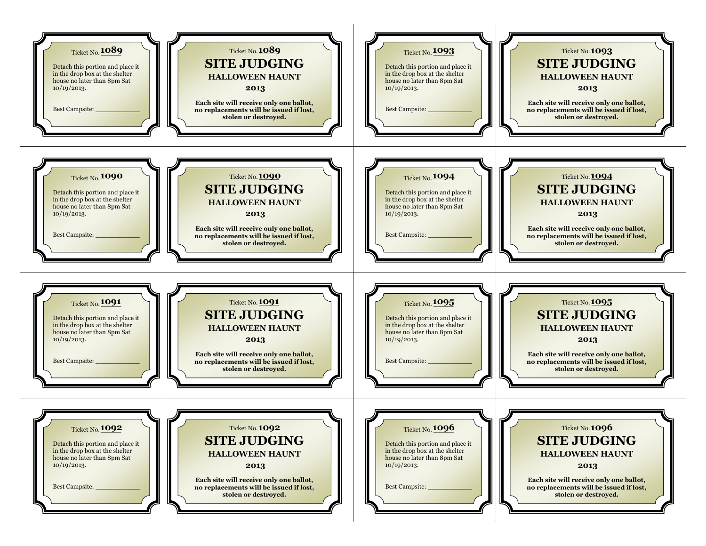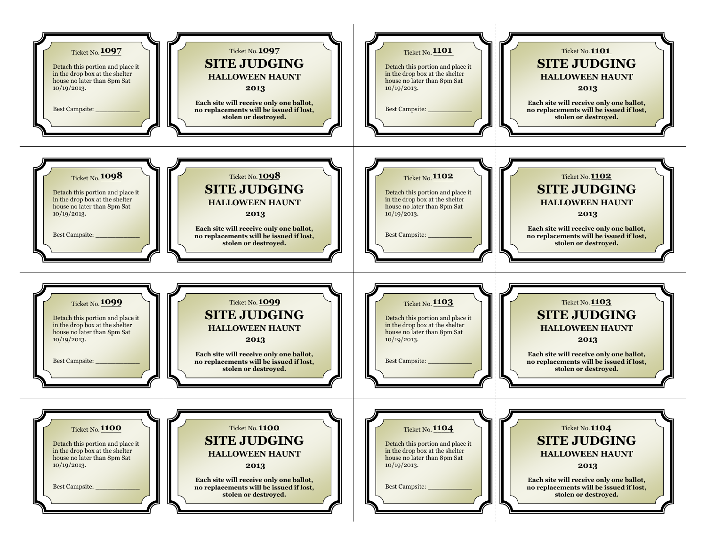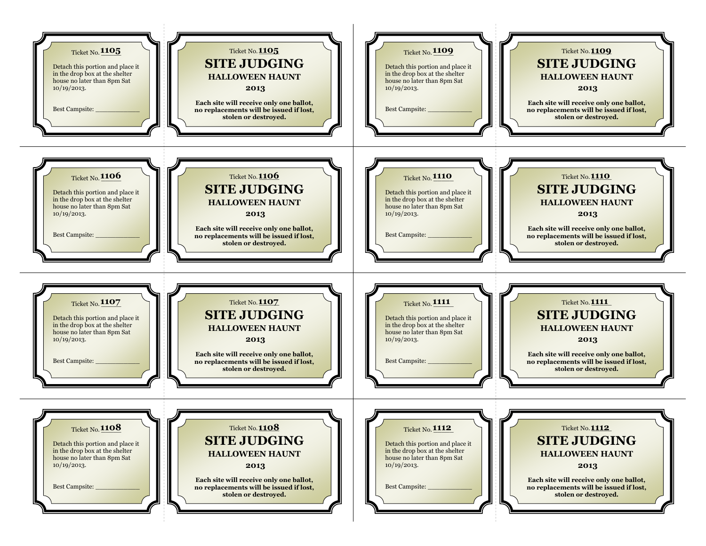